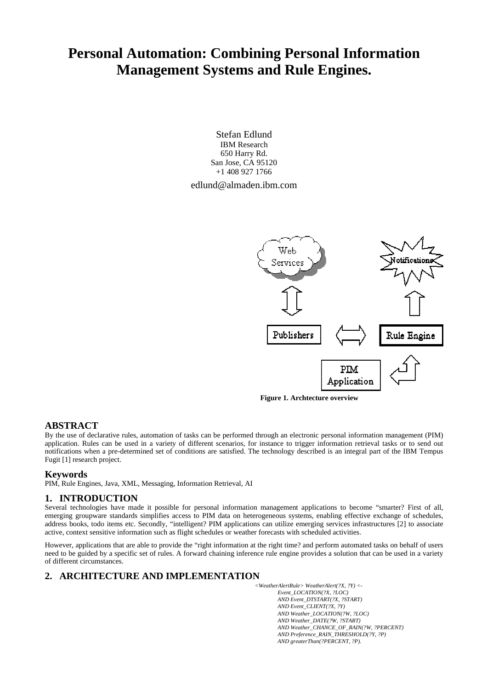# **Personal Automation: Combining Personal Information Management Systems and Rule Engines.**

Stefan Edlund IBM Research 650 Harry Rd. San Jose, CA 95120 +1 408 927 1766 edlund@almaden.ibm.com



**Figure 1. Archtecture overview**

## **ABSTRACT**

By the use of declarative rules, automation of tasks can be performed through an electronic personal information management (PIM) application. Rules can be used in a variety of different scenarios, for instance to trigger information retrieval tasks or to send out notifications when a pre-determined set of conditions are satisfied. The technology described is an integral part of the IBM Tempus Fugit [1] research project.

#### **Keywords**

PIM, Rule Engines, Java, XML, Messaging, Information Retrieval, AI

## **1. INTRODUCTION**

Several technologies have made it possible for personal information management applications to become "smarter? First of all, emerging groupware standards simplifies access to PIM data on heterogeneous systems, enabling effective exchange of schedules, address books, todo items etc. Secondly, "intelligent? PIM applications can utilize emerging services infrastructures [2] to associate active, context sensitive information such as flight schedules or weather forecasts with scheduled activities.

However, applications that are able to provide the "right information at the right time? and perform automated tasks on behalf of users need to be guided by a specific set of rules. A forward chaining inference rule engine provides a solution that can be used in a variety of different circumstances.

# **2. ARCHITECTURE AND IMPLEMENTATION**

*<WeatherAlertRule> WeatherAlert(?X, ?Y) <- Event\_LOCATION(?X, ?LOC) AND Event\_DTSTART(?X, ?START) AND Event\_CLIENT(?X, ?Y) AND Weather\_LOCATION(?W, ?LOC) AND Weather\_DATE(?W, ?START) AND Weather\_CHANCE\_OF\_RAIN(?W, ?PERCENT) AND Preference\_RAIN\_THRESHOLD(?Y, ?P) AND greaterThan(?PERCENT, ?P).*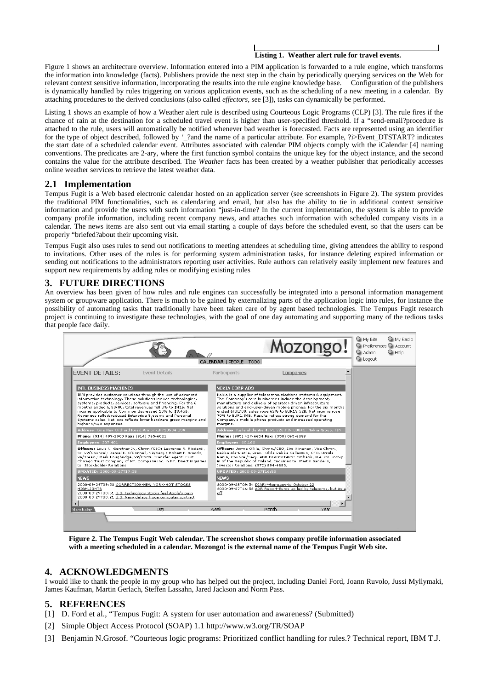#### **Listing 1. Weather alert rule for travel events.**

Figure 1 shows an architecture overview. Information entered into a PIM application is forwarded to a rule engine, which transforms the information into knowledge (facts). Publishers provide the next step in the chain by periodically querying services on the Web for relevant context sensitive information, incorporating the results into the rule engine knowledge base. Configuration of the publishers is dynamically handled by rules triggering on various application events, such as the scheduling of a new meeting in a calendar. By attaching procedures to the derived conclusions (also called *effectors,* see [3]), tasks can dynamically be performed.

Listing 1 shows an example of how a Weather alert rule is described using Courteous Logic Programs (CLP) [3]. The rule fires if the chance of rain at the destination for a scheduled travel event is higher than user-specified threshold. If a "send-email?procedure is attached to the rule, users will automatically be notified whenever bad weather is forecasted. Facts are represented using an identifier for the type of object described, followed by '\_?and the name of a particular attribute. For example, ?i>Event\_DTSTART? indicates the start date of a scheduled calendar event. Attributes associated with calendar PIM objects comply with the iCalendar [4] naming conventions. The predicates are 2-ary, where the first function symbol contains the unique key for the object instance, and the second contains the value for the attribute described. The *Weather* facts has been created by a weather publisher that periodically accesses online weather services to retrieve the latest weather data.

## **2.1 Implementation**

Tempus Fugit is a Web based electronic calendar hosted on an application server (see screenshots in Figure 2). The system provides the traditional PIM functionalities, such as calendaring and email, but also has the ability to tie in additional context sensitive information and provide the users with such information "just-in-time? In the current implementation, the system is able to provide company profile information, including recent company news, and attaches such information with scheduled company visits in a calendar. The news items are also sent out via email starting a couple of days before the scheduled event, so that the users can be properly "briefed?about their upcoming visit.

Tempus Fugit also uses rules to send out notifications to meeting attendees at scheduling time, giving attendees the ability to respond to invitations. Other uses of the rules is for performing system administration tasks, for instance deleting expired information or sending out notifications to the administrators reporting user activities. Rule authors can relatively easily implement new features and support new requirements by adding rules or modifying existing rules

## **3. FUTURE DIRECTIONS**

An overview has been given of how rules and rule engines can successfully be integrated into a personal information management system or groupware application. There is much to be gained by externalizing parts of the application logic into rules, for instance the possibility of automating tasks that traditionally have been taken care of by agent based technologies. The Tempus Fugit research project is continuing to investigate these technologies, with the goal of one day automating and supporting many of the tedious tasks that people face daily.



**Figure 2. The Tempus Fugit Web calendar. The screenshot shows company profile information associated with a meeting scheduled in a calendar. Mozongo! is the external name of the Tempus Fugit Web site.** 

# **4. ACKNOWLEDGMENTS**

I would like to thank the people in my group who has helped out the project, including Daniel Ford, Joann Ruvolo, Jussi Myllymaki, James Kaufman, Martin Gerlach, Steffen Lassahn, Jared Jackson and Norm Pass.

## **5. REFERENCES**

- [1] D. Ford et al., "Tempus Fugit: A system for user automation and awareness? (Submitted)
- [2] Simple Object Access Protocol (SOAP) 1.1 http://www.w3.org/TR/SOAP
- [3] Benjamin N.Grosof. "Courteous logic programs: Prioritized conflict handling for rules.? Technical report, IBM T.J.